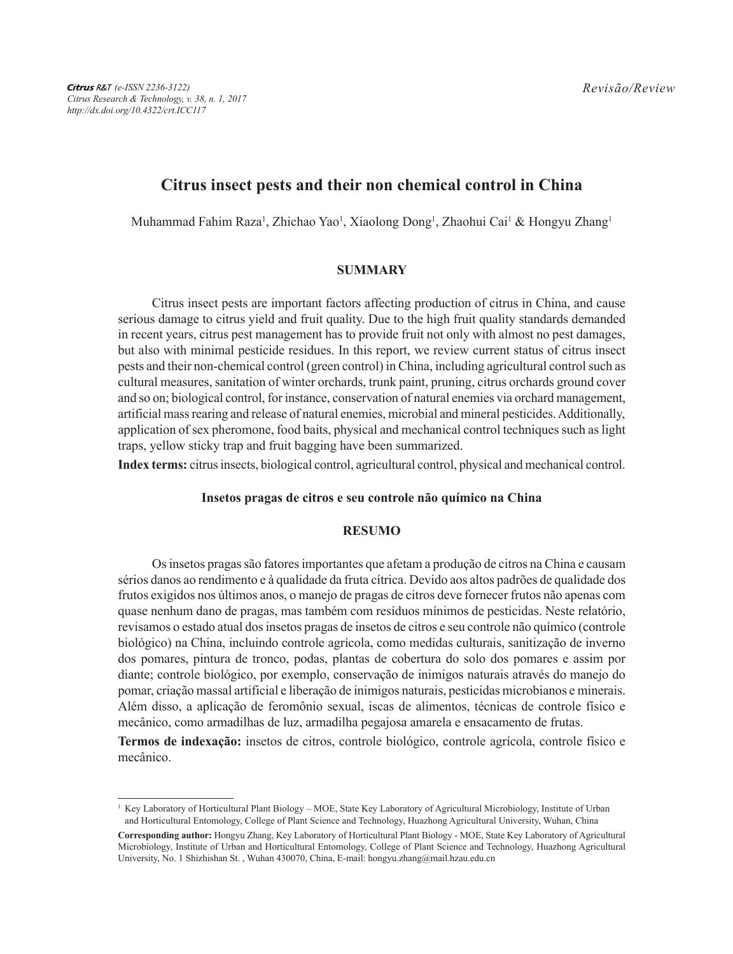# **Citrus insect pests and their non chemical control in China**

Muhammad Fahim Raza<sup>1</sup>, Zhichao Yao<sup>1</sup>, Xiaolong Dong<sup>1</sup>, Zhaohui Cai<sup>1</sup> & Hongyu Zhang<sup>1</sup>

## **SUMMARY**

Citrus insect pests are important factors affecting production of citrus in China, and cause serious damage to citrus yield and fruit quality. Due to the high fruit quality standards demanded in recent years, citrus pest management has to provide fruit not only with almost no pest damages, but also with minimal pesticide residues. In this report, we review current status of citrus insect pests and their non-chemical control (green control) in China, including agricultural control such as cultural measures, sanitation of winter orchards, trunk paint, pruning, citrus orchards ground cover and so on; biological control, for instance, conservation of natural enemies via orchard management, artificial mass rearing and release of natural enemies, microbial and mineral pesticides. Additionally, application of sex pheromone, food baits, physical and mechanical control techniques such as light traps, yellow sticky trap and fruit bagging have been summarized.

**Index terms:** citrus insects, biological control, agricultural control, physical and mechanical control.

## **Insetos pragas de citros e seu controle não químico na China**

## **RESUMO**

Os insetos pragas são fatores importantes que afetam a produção de citros na China e causam sérios danos ao rendimento e à qualidade da fruta cítrica. Devido aos altos padrões de qualidade dos frutos exigidos nos últimos anos, o manejo de pragas de citros deve fornecer frutos não apenas com quase nenhum dano de pragas, mas também com resíduos mínimos de pesticidas. Neste relatório, revisamos o estado atual dos insetos pragas de insetos de citros e seu controle não químico (controle biológico) na China, incluindo controle agrícola, como medidas culturais, sanitização de inverno dos pomares, pintura de tronco, podas, plantas de cobertura do solo dos pomares e assim por diante; controle biológico, por exemplo, conservação de inimigos naturais através do manejo do pomar, criação massal artificial e liberação de inimigos naturais, pesticidas microbianos e minerais. Além disso, a aplicação de feromônio sexual, iscas de alimentos, técnicas de controle físico e mecânico, como armadilhas de luz, armadilha pegajosa amarela e ensacamento de frutas.

**Termos de indexação:** insetos de citros, controle biológico, controle agrícola, controle físico e mecânico.

<sup>1</sup> Key Laboratory of Horticultural Plant Biology – MOE, State Key Laboratory of Agricultural Microbiology, Institute of Urban and Horticultural Entomology, College of Plant Science and Technology, Huazhong Agricultural University, Wuhan, China

**Corresponding author:** Hongyu Zhang, Key Laboratory of Horticultural Plant Biology - MOE, State Key Laboratory of Agricultural Microbiology, Institute of Urban and Horticultural Entomology, College of Plant Science and Technology, Huazhong Agricultural University, No. 1 Shizhishan St. , Wuhan 430070, China, E-mail: hongyu.zhang@mail.hzau.edu.cn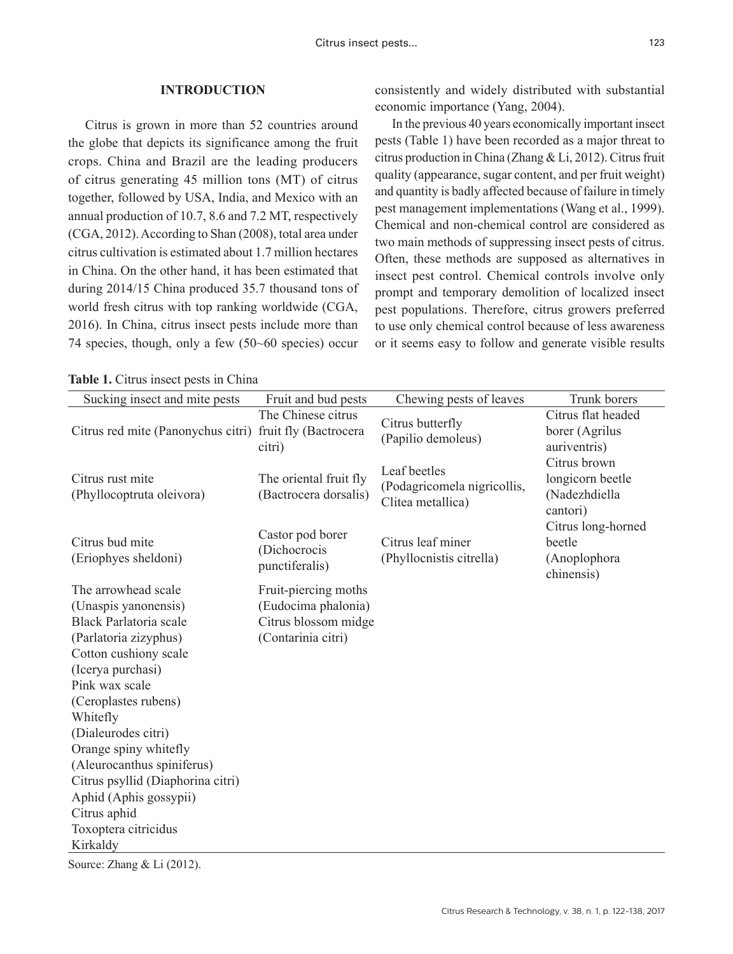## **INTRODUCTION**

Citrus is grown in more than 52 countries around the globe that depicts its significance among the fruit crops. China and Brazil are the leading producers of citrus generating 45 million tons (MT) of citrus together, followed by USA, India, and Mexico with an annual production of 10.7, 8.6 and 7.2 MT, respectively (CGA, 2012). According to Shan (2008), total area under citrus cultivation is estimated about 1.7 million hectares in China. On the other hand, it has been estimated that during 2014/15 China produced 35.7 thousand tons of world fresh citrus with top ranking worldwide (CGA, 2016). In China, citrus insect pests include more than 74 species, though, only a few (50~60 species) occur

| <b>Table 1.</b> Citrus insect pests in China |  |  |  |
|----------------------------------------------|--|--|--|
|----------------------------------------------|--|--|--|

consistently and widely distributed with substantial economic importance (Yang, 2004).

In the previous 40 years economically important insect pests (Table 1) have been recorded as a major threat to citrus production in China (Zhang & Li, 2012). Citrus fruit quality (appearance, sugar content, and per fruit weight) and quantity is badly affected because of failure in timely pest management implementations (Wang et al., 1999). Chemical and non-chemical control are considered as two main methods of suppressing insect pests of citrus. Often, these methods are supposed as alternatives in insect pest control. Chemical controls involve only prompt and temporary demolition of localized insect pest populations. Therefore, citrus growers preferred to use only chemical control because of less awareness or it seems easy to follow and generate visible results

| Sucking insect and mite pests                                                                                                                                                                                                                                                                                                                                                                              | Fruit and bud pests                                                                       | Chewing pests of leaves                                          | Trunk borers                                                  |
|------------------------------------------------------------------------------------------------------------------------------------------------------------------------------------------------------------------------------------------------------------------------------------------------------------------------------------------------------------------------------------------------------------|-------------------------------------------------------------------------------------------|------------------------------------------------------------------|---------------------------------------------------------------|
| Citrus red mite (Panonychus citri) fruit fly (Bactrocera                                                                                                                                                                                                                                                                                                                                                   | The Chinese citrus<br>citri)                                                              | Citrus butterfly<br>(Papilio demoleus)                           | Citrus flat headed<br>borer (Agrilus<br>auriventris)          |
| Citrus rust mite<br>(Phyllocoptruta oleivora)                                                                                                                                                                                                                                                                                                                                                              | The oriental fruit fly<br>(Bactrocera dorsalis)                                           | Leaf beetles<br>(Podagricomela nigricollis,<br>Clitea metallica) | Citrus brown<br>longicorn beetle<br>(Nadezhdiella<br>cantori) |
| Citrus bud mite<br>(Eriophyes sheldoni)                                                                                                                                                                                                                                                                                                                                                                    | Castor pod borer<br>(Dichocrocis<br>punctiferalis)                                        | Citrus leaf miner<br>(Phyllocnistis citrella)                    | Citrus long-horned<br>beetle<br>(Anoplophora<br>chinensis)    |
| The arrowhead scale<br>(Unaspis yanonensis)<br><b>Black Parlatoria scale</b><br>(Parlatoria zizyphus)<br>Cotton cushiony scale<br>(Icerya purchasi)<br>Pink wax scale<br>(Ceroplastes rubens)<br>Whitefly<br>(Dialeurodes citri)<br>Orange spiny whitefly<br>(Aleurocanthus spiniferus)<br>Citrus psyllid (Diaphorina citri)<br>Aphid (Aphis gossypii)<br>Citrus aphid<br>Toxoptera citricidus<br>Kirkaldy | Fruit-piercing moths<br>(Eudocima phalonia)<br>Citrus blossom midge<br>(Contarinia citri) |                                                                  |                                                               |

Source: Zhang & Li (2012).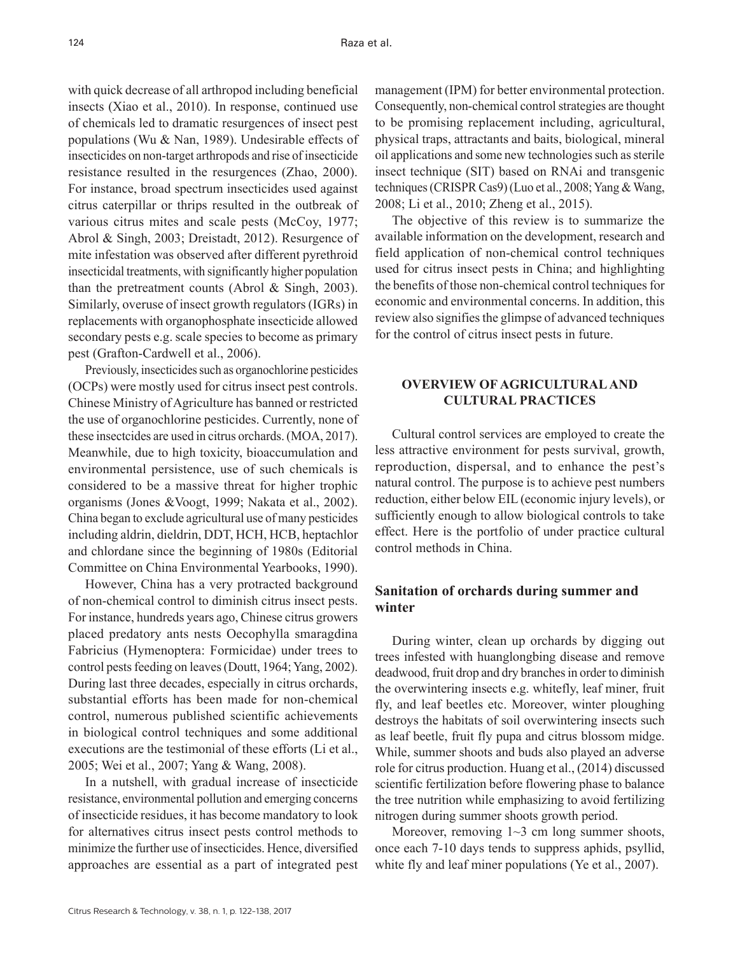with quick decrease of all arthropod including beneficial insects (Xiao et al., 2010). In response, continued use of chemicals led to dramatic resurgences of insect pest populations (Wu & Nan, 1989). Undesirable effects of insecticides on non-target arthropods and rise of insecticide resistance resulted in the resurgences (Zhao, 2000). For instance, broad spectrum insecticides used against citrus caterpillar or thrips resulted in the outbreak of various citrus mites and scale pests (McCoy, 1977; Abrol & Singh, 2003; Dreistadt, 2012). Resurgence of mite infestation was observed after different pyrethroid insecticidal treatments, with significantly higher population than the pretreatment counts (Abrol & Singh, 2003). Similarly, overuse of insect growth regulators (IGRs) in replacements with organophosphate insecticide allowed secondary pests e.g. scale species to become as primary pest (Grafton-Cardwell et al., 2006).

Previously, insecticides such as organochlorine pesticides (OCPs) were mostly used for citrus insect pest controls. Chinese Ministry of Agriculture has banned or restricted the use of organochlorine pesticides. Currently, none of these insectcides are used in citrus orchards. (MOA, 2017). Meanwhile, due to high toxicity, bioaccumulation and environmental persistence, use of such chemicals is considered to be a massive threat for higher trophic organisms (Jones &Voogt, 1999; Nakata et al., 2002). China began to exclude agricultural use of many pesticides including aldrin, dieldrin, DDT, HCH, HCB, heptachlor and chlordane since the beginning of 1980s (Editorial Committee on China Environmental Yearbooks, 1990).

However, China has a very protracted background of non-chemical control to diminish citrus insect pests. For instance, hundreds years ago, Chinese citrus growers placed predatory ants nests Oecophylla smaragdina Fabricius (Hymenoptera: Formicidae) under trees to control pests feeding on leaves (Doutt, 1964; Yang, 2002). During last three decades, especially in citrus orchards, substantial efforts has been made for non-chemical control, numerous published scientific achievements in biological control techniques and some additional executions are the testimonial of these efforts (Li et al., 2005; Wei et al., 2007; Yang & Wang, 2008).

In a nutshell, with gradual increase of insecticide resistance, environmental pollution and emerging concerns of insecticide residues, it has become mandatory to look for alternatives citrus insect pests control methods to minimize the further use of insecticides. Hence, diversified approaches are essential as a part of integrated pest

management (IPM) for better environmental protection. Consequently, non-chemical control strategies are thought to be promising replacement including, agricultural, physical traps, attractants and baits, biological, mineral oil applications and some new technologies such as sterile insect technique (SIT) based on RNAi and transgenic techniques (CRISPR Cas9) (Luo et al., 2008; Yang & Wang, 2008; Li et al., 2010; Zheng et al., 2015).

The objective of this review is to summarize the available information on the development, research and field application of non-chemical control techniques used for citrus insect pests in China; and highlighting the benefits of those non-chemical control techniques for economic and environmental concerns. In addition, this review also signifies the glimpse of advanced techniques for the control of citrus insect pests in future.

## **OVERVIEW OF AGRICULTURAL AND CULTURAL PRACTICES**

Cultural control services are employed to create the less attractive environment for pests survival, growth, reproduction, dispersal, and to enhance the pest's natural control. The purpose is to achieve pest numbers reduction, either below EIL (economic injury levels), or sufficiently enough to allow biological controls to take effect. Here is the portfolio of under practice cultural control methods in China.

# **Sanitation of orchards during summer and winter**

During winter, clean up orchards by digging out trees infested with huanglongbing disease and remove deadwood, fruit drop and dry branches in order to diminish the overwintering insects e.g. whitefly, leaf miner, fruit fly, and leaf beetles etc. Moreover, winter ploughing destroys the habitats of soil overwintering insects such as leaf beetle, fruit fly pupa and citrus blossom midge. While, summer shoots and buds also played an adverse role for citrus production. Huang et al., (2014) discussed scientific fertilization before flowering phase to balance the tree nutrition while emphasizing to avoid fertilizing nitrogen during summer shoots growth period.

Moreover, removing  $1~3$  cm long summer shoots, once each 7-10 days tends to suppress aphids, psyllid, white fly and leaf miner populations (Ye et al., 2007).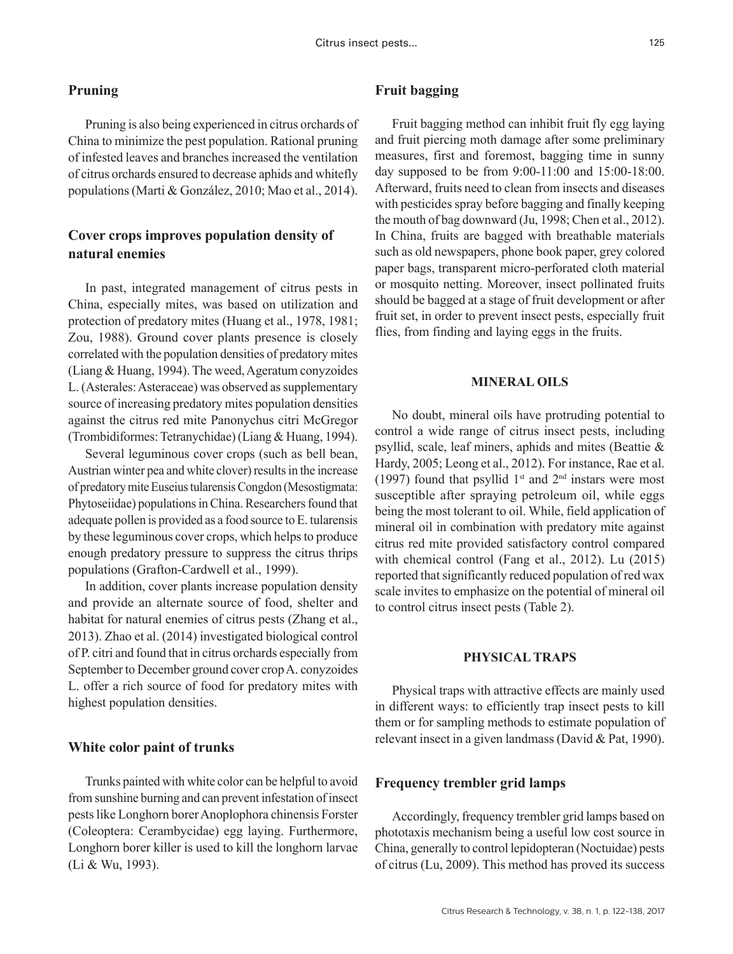## **Pruning**

Pruning is also being experienced in citrus orchards of China to minimize the pest population. Rational pruning of infested leaves and branches increased the ventilation of citrus orchards ensured to decrease aphids and whitefly populations (Marti & González, 2010; Mao et al., 2014).

# **Cover crops improves population density of natural enemies**

In past, integrated management of citrus pests in China, especially mites, was based on utilization and protection of predatory mites (Huang et al., 1978, 1981; Zou, 1988). Ground cover plants presence is closely correlated with the population densities of predatory mites (Liang & Huang, 1994). The weed, Ageratum conyzoides L. (Asterales: Asteraceae) was observed as supplementary source of increasing predatory mites population densities against the citrus red mite Panonychus citri McGregor (Trombidiformes: Tetranychidae) (Liang & Huang, 1994).

Several leguminous cover crops (such as bell bean, Austrian winter pea and white clover) results in the increase of predatory mite Euseius tularensis Congdon (Mesostigmata: Phytoseiidae) populations in China. Researchers found that adequate pollen is provided as a food source to E. tularensis by these leguminous cover crops, which helps to produce enough predatory pressure to suppress the citrus thrips populations (Grafton-Cardwell et al., 1999).

In addition, cover plants increase population density and provide an alternate source of food, shelter and habitat for natural enemies of citrus pests (Zhang et al., 2013). Zhao et al. (2014) investigated biological control of P. citri and found that in citrus orchards especially from September to December ground cover crop A. conyzoides L. offer a rich source of food for predatory mites with highest population densities.

#### **White color paint of trunks**

Trunks painted with white color can be helpful to avoid from sunshine burning and can prevent infestation of insect pests like Longhorn borer Anoplophora chinensis Forster (Coleoptera: Cerambycidae) egg laying. Furthermore, Longhorn borer killer is used to kill the longhorn larvae (Li & Wu, 1993).

# **Fruit bagging**

Fruit bagging method can inhibit fruit fly egg laying and fruit piercing moth damage after some preliminary measures, first and foremost, bagging time in sunny day supposed to be from 9:00-11:00 and 15:00-18:00. Afterward, fruits need to clean from insects and diseases with pesticides spray before bagging and finally keeping the mouth of bag downward (Ju, 1998; Chen et al., 2012). In China, fruits are bagged with breathable materials such as old newspapers, phone book paper, grey colored paper bags, transparent micro-perforated cloth material or mosquito netting. Moreover, insect pollinated fruits should be bagged at a stage of fruit development or after fruit set, in order to prevent insect pests, especially fruit flies, from finding and laying eggs in the fruits.

#### **MINERAL OILS**

No doubt, mineral oils have protruding potential to control a wide range of citrus insect pests, including psyllid, scale, leaf miners, aphids and mites (Beattie & Hardy, 2005; Leong et al., 2012). For instance, Rae et al. (1997) found that psyllid  $1<sup>st</sup>$  and  $2<sup>nd</sup>$  instars were most susceptible after spraying petroleum oil, while eggs being the most tolerant to oil. While, field application of mineral oil in combination with predatory mite against citrus red mite provided satisfactory control compared with chemical control (Fang et al., 2012). Lu (2015) reported that significantly reduced population of red wax scale invites to emphasize on the potential of mineral oil to control citrus insect pests (Table 2).

#### **PHYSICAL TRAPS**

Physical traps with attractive effects are mainly used in different ways: to efficiently trap insect pests to kill them or for sampling methods to estimate population of relevant insect in a given landmass (David & Pat, 1990).

#### **Frequency trembler grid lamps**

Accordingly, frequency trembler grid lamps based on phototaxis mechanism being a useful low cost source in China, generally to control lepidopteran (Noctuidae) pests of citrus (Lu, 2009). This method has proved its success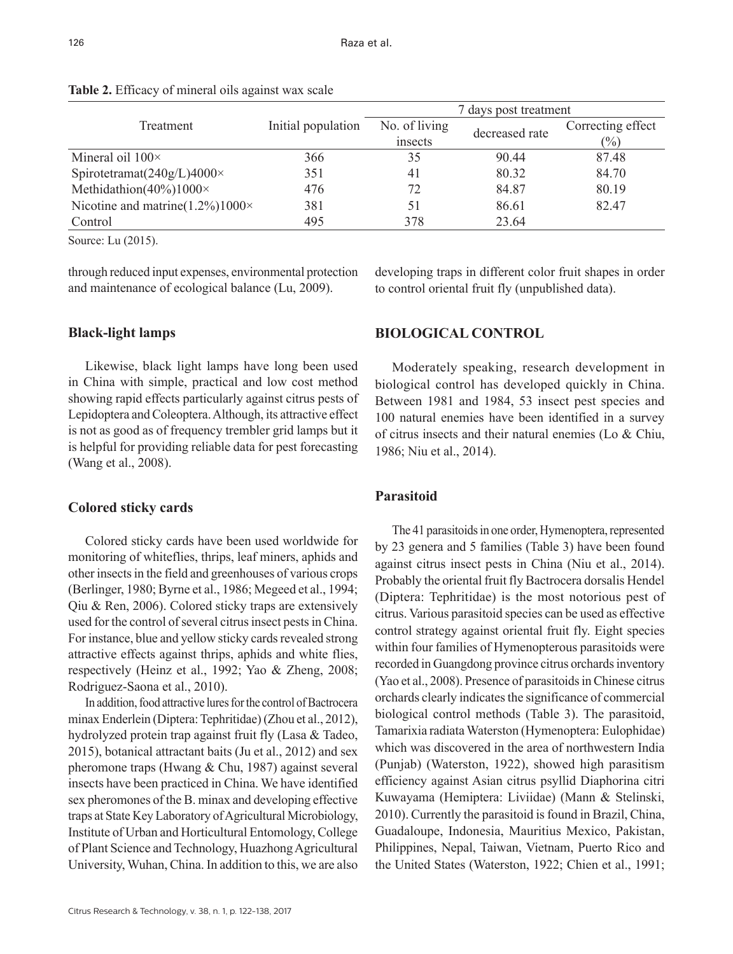|                                               |                    |               | 7 days post treatment |                   |
|-----------------------------------------------|--------------------|---------------|-----------------------|-------------------|
| Treatment                                     | Initial population | No. of living | decreased rate        | Correcting effect |
|                                               |                    | insects       |                       | $(\%)$            |
| Mineral oil $100 \times$                      | 366                | 35            | 90.44                 | 87.48             |
| Spirotetramat $(240g/L)4000\times$            | 351                | 41            | 80.32                 | 84.70             |
| Methidathion( $40\%$ ) $1000\times$           | 476                | 72            | 84.87                 | 80.19             |
| Nicotine and matrine( $1.2\%$ ) $1000 \times$ | 381                | 51            | 86.61                 | 82.47             |
| Control                                       | 495                | 378           | 23.64                 |                   |

**Table 2.** Efficacy of mineral oils against wax scale

Source: Lu (2015).

through reduced input expenses, environmental protection and maintenance of ecological balance (Lu, 2009).

## **Black-light lamps**

Likewise, black light lamps have long been used in China with simple, practical and low cost method showing rapid effects particularly against citrus pests of Lepidoptera and Coleoptera. Although, its attractive effect is not as good as of frequency trembler grid lamps but it is helpful for providing reliable data for pest forecasting (Wang et al., 2008).

## **Colored sticky cards**

Colored sticky cards have been used worldwide for monitoring of whiteflies, thrips, leaf miners, aphids and other insects in the field and greenhouses of various crops (Berlinger, 1980; Byrne et al., 1986; Megeed et al., 1994; Qiu & Ren, 2006). Colored sticky traps are extensively used for the control of several citrus insect pests in China. For instance, blue and yellow sticky cards revealed strong attractive effects against thrips, aphids and white flies, respectively (Heinz et al., 1992; Yao & Zheng, 2008; Rodriguez-Saona et al., 2010).

In addition, food attractive lures for the control of Bactrocera minax Enderlein (Diptera: Tephritidae) (Zhou et al., 2012), hydrolyzed protein trap against fruit fly (Lasa & Tadeo, 2015), botanical attractant baits (Ju et al., 2012) and sex pheromone traps (Hwang & Chu, 1987) against several insects have been practiced in China. We have identified sex pheromones of the B. minax and developing effective traps at State Key Laboratory of Agricultural Microbiology, Institute of Urban and Horticultural Entomology, College of Plant Science and Technology, Huazhong Agricultural University, Wuhan, China. In addition to this, we are also

developing traps in different color fruit shapes in order to control oriental fruit fly (unpublished data).

# **BIOLOGICAL CONTROL**

Moderately speaking, research development in biological control has developed quickly in China. Between 1981 and 1984, 53 insect pest species and 100 natural enemies have been identified in a survey of citrus insects and their natural enemies (Lo & Chiu, 1986; Niu et al., 2014).

#### **Parasitoid**

The 41 parasitoids in one order, Hymenoptera, represented by 23 genera and 5 families (Table 3) have been found against citrus insect pests in China (Niu et al., 2014). Probably the oriental fruit fly Bactrocera dorsalis Hendel (Diptera: Tephritidae) is the most notorious pest of citrus. Various parasitoid species can be used as effective control strategy against oriental fruit fly. Eight species within four families of Hymenopterous parasitoids were recorded in Guangdong province citrus orchards inventory (Yao et al., 2008). Presence of parasitoids in Chinese citrus orchards clearly indicates the significance of commercial biological control methods (Table 3). The parasitoid, Tamarixia radiata Waterston (Hymenoptera: Eulophidae) which was discovered in the area of northwestern India (Punjab) (Waterston, 1922), showed high parasitism efficiency against Asian citrus psyllid Diaphorina citri Kuwayama (Hemiptera: Liviidae) (Mann & Stelinski, 2010). Currently the parasitoid is found in Brazil, China, Guadaloupe, Indonesia, Mauritius Mexico, Pakistan, Philippines, Nepal, Taiwan, Vietnam, Puerto Rico and the United States (Waterston, 1922; Chien et al., 1991;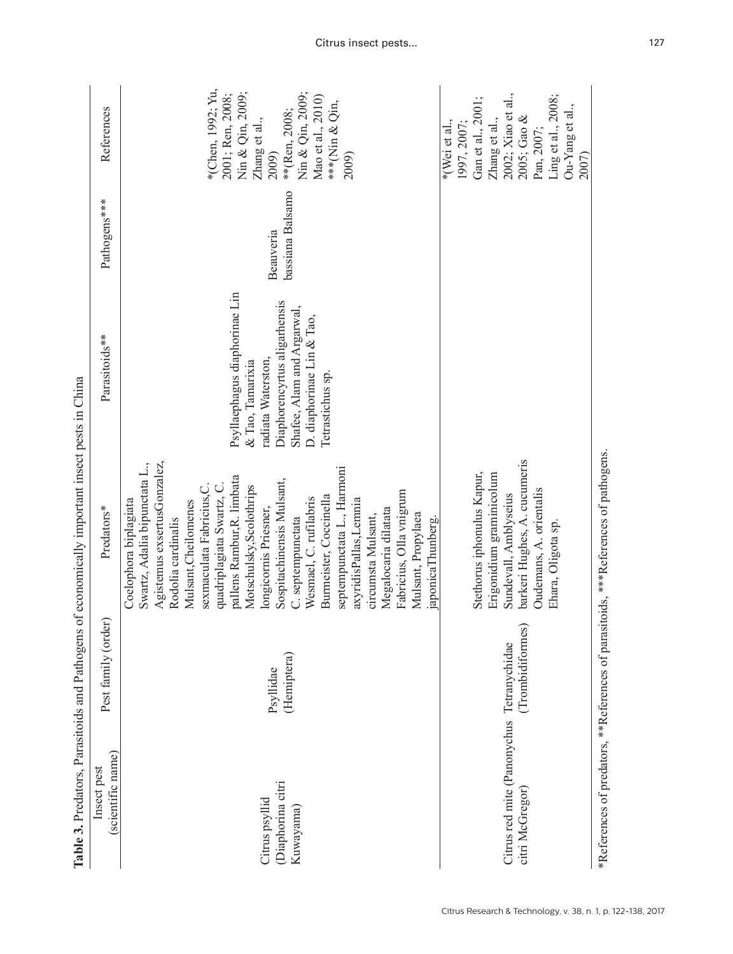|                                                 |                                   | Table 3. Predators, Parasitoids and Pathogens of economically important insect pests in China                                                                                                                                                                                                                                                                                                                                                                                                                                                                     |                                                                                                                                                                                        |                               |                                                                                                                                                                             |
|-------------------------------------------------|-----------------------------------|-------------------------------------------------------------------------------------------------------------------------------------------------------------------------------------------------------------------------------------------------------------------------------------------------------------------------------------------------------------------------------------------------------------------------------------------------------------------------------------------------------------------------------------------------------------------|----------------------------------------------------------------------------------------------------------------------------------------------------------------------------------------|-------------------------------|-----------------------------------------------------------------------------------------------------------------------------------------------------------------------------|
| (scientific name)<br>Insect pest                | Pest family (order)               | Predators*                                                                                                                                                                                                                                                                                                                                                                                                                                                                                                                                                        | Parasitoids**                                                                                                                                                                          | Pathogens***                  | References                                                                                                                                                                  |
| Diaphorina citri<br>Citrus psyllid<br>Kuwayama) | (Hemiptera)<br>Psyllidae          | Agistemus exsertusGonzalez,<br>Swartz, Adalia bipunctata L.,<br>septempunctata L., Harmoni<br>pallens Rambur, R. limbata<br>Sospitachinensis Mulsant,<br>quadriplagiata Swartz, C.<br>sexmaculata Fabricius, C.<br>Motschulsky, Scolothrips<br>Fabricius, Olla vnigrum<br>Burmeister, Coccinella<br>Wesmael, C. rufilabris<br>axyridisPallas,Lemnia<br>Coelophora biplagiata<br>Mulsant, Cheilomenes<br>Megalocaria dilatata<br>longicornis Priesner,<br>Mulsant, Propylaea<br>circumsta Mulsant,<br>Rodolia cardinalis<br>C. septempunctata<br>japonicaThunberg. | Psyllaephagus diaphorinae Lin<br>Diaphorencyrtus aligarhensis<br>Shafee, Alam and Argarwal,<br>D. diaphorinae Lin & Tao,<br>radiata Waterston,<br>& Tao, Tamarixia<br>Tetrastichus sp. | bassiana Balsamo<br>Beauveria | *(Chen, 1992; Yu,<br>Nin & Qin, 2009;<br>Nin & Qin, 2009;<br>2001; Ren, 2008;<br>Mao et al., 2010)<br>***(Nin & Qin,<br>**(Ren, 2008;<br>Zhang et al.,<br>2009)<br>2009)    |
| Citrus red mite (Panonychus<br>citri McGregor)  | (Trombidiformes)<br>Tetranychidae | barkeri Hughes, A. cucumeris<br>Stethorus iphonulus Kapur,<br>Erigonidium graminicolum<br>Oudemans, A. orientalis<br>Sundevall, Amblyseius<br>Ehara, Oligota sp.                                                                                                                                                                                                                                                                                                                                                                                                  |                                                                                                                                                                                        |                               | 2002; Xiao et al.,<br>Ling et al., 2008;<br>Gan et al., 2001;<br>Ou-Yang et al.,<br>2005; Gao $\&$<br>Zhang et al.,<br>$*(Wei et al.,$<br>1997, 2007<br>Pan, 2007;<br>2007) |
|                                                 |                                   | *References of predators, **References of parasitoids, ***References of pathogens.                                                                                                                                                                                                                                                                                                                                                                                                                                                                                |                                                                                                                                                                                        |                               |                                                                                                                                                                             |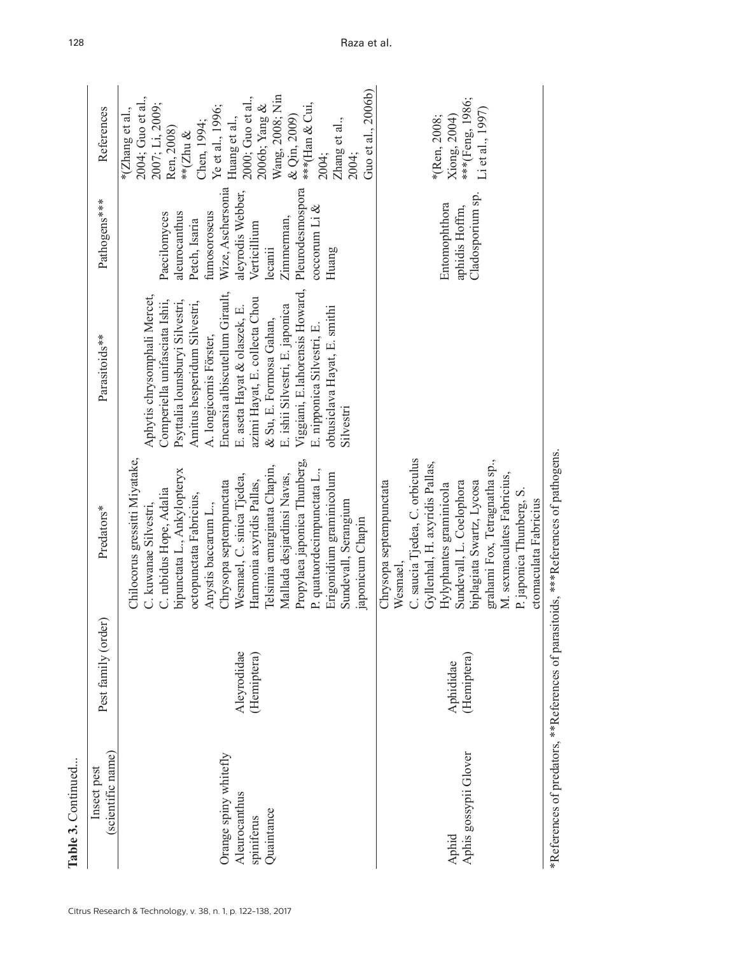| Table 3. Continued                                                 |                            |                                                                                                                                                                                                                                                                                                                                                                                                                                                              |                                                                                                                                                                                                                                                                                                                                                                                                                                             |                                                                                                                                                                                                           |                                                                                                                                                                                                                                                                                                  |
|--------------------------------------------------------------------|----------------------------|--------------------------------------------------------------------------------------------------------------------------------------------------------------------------------------------------------------------------------------------------------------------------------------------------------------------------------------------------------------------------------------------------------------------------------------------------------------|---------------------------------------------------------------------------------------------------------------------------------------------------------------------------------------------------------------------------------------------------------------------------------------------------------------------------------------------------------------------------------------------------------------------------------------------|-----------------------------------------------------------------------------------------------------------------------------------------------------------------------------------------------------------|--------------------------------------------------------------------------------------------------------------------------------------------------------------------------------------------------------------------------------------------------------------------------------------------------|
| (scientific name)<br>Insect pest                                   | Pest family (order)        | Predators*                                                                                                                                                                                                                                                                                                                                                                                                                                                   | Parasitoids**                                                                                                                                                                                                                                                                                                                                                                                                                               | Pathogens***                                                                                                                                                                                              | References                                                                                                                                                                                                                                                                                       |
| Orange spiny whitefly<br>Aleurocanthus<br>Quaintance<br>spiniferus | Aleyrodidae<br>(Hemiptera) | Chilocorus gressitti Miyatake,<br>Propylaea japonica Thunberg,<br>Telsimia emarginata Chapin,<br>bipunctata L., Ankylopteryx<br>P. quatuordecimpunctata L.,<br>Mallada desjardinsi Navas,<br>Erigonidium graminicolum<br>Wesmael, C. sinica Tjedea,<br>Chrysopa septempunctata<br>Harmonia axyridis Pallas,<br>C. rubidus Hope, Adalia<br>octopunctata Fabricius,<br>Sundevall, Serangium<br>Anystis baccarum L.,<br>C. kuwanae Silvestri<br>aponicum Chapin | Viggiani, E.lahorensis Howard,<br>Encarsia albiscutellum Girault,<br>Aphytis chrysomphali Mercet,<br>azimi Hayat, E. collecta Chou<br>Comperiella unifasciata Ishii,<br>Psyttalia lounsburyi Silvestri,<br>Amitus hesperidum Silvestri,<br>E. ishii Silvestri, E. japonica<br>obtusiclava Hayat, E. smithi<br>E. aseta Hayat & olaszek, E.<br>& Su, E. Formosa Gahan,<br>E. nipponica Silvestri, E.<br>A. longicornis Förster,<br>Silvestri | Wize, Aschersonia<br>Pleurodesmospora<br>aleyrodis Webber,<br>$30^{\circ}$ ccorum Li &<br>fumosoroseus<br>aleurocanthus<br>Paecilomyces<br>Zimmerman,<br>Petch, Isaria<br>Verticillium<br>ecanii<br>Huang | Guo et al., 2006b)<br>Wang, 2008; Nin<br>2004; Guo et al.,<br>2000; Guo et al.,<br>2007; Li, 2009;<br>***(Han & Cui,<br>2006b; Yang $\&$<br>Ye et al., 1996;<br>*(Zhang et al.,<br>Huang et al.,<br>& Qin, 2009)<br>Zhang et al.,<br>Chen, 1994;<br>Ren, 2008)<br>** $(Zhu \&$<br>2004;<br>2004; |
| Aphis gossypii Glover<br>Aphid                                     | (Hemiptera)<br>Aphididae   | C. saucia Tjedea, C. orbiculus<br>grahami Fox, Tetragnatha sp.,<br>Gyllenhal, H. axyridis Pallas,<br>M. sexmaculates Fabricius,<br>Chrysopa septempunctata<br>biplagiata Swartz, Lycosa<br>Sundevall, L. Coelophora<br>Hylyphantes graminicola<br>P. japonica Thunberg, S.<br>ctomaculata Fabricius<br>Wesmael,                                                                                                                                              |                                                                                                                                                                                                                                                                                                                                                                                                                                             | Cladosporium sp.<br>Entomophthora<br>aphidis Hoffm,                                                                                                                                                       | ***(Feng, 1986;<br>Li et al., 1997)<br>*(Ren, 2008;<br>Xiong, 2004)                                                                                                                                                                                                                              |
|                                                                    |                            | ※Dafaranasa of readeres ※※Dafaranase of raraiitain * * * * faranasa of retharana                                                                                                                                                                                                                                                                                                                                                                             |                                                                                                                                                                                                                                                                                                                                                                                                                                             |                                                                                                                                                                                                           |                                                                                                                                                                                                                                                                                                  |

Keferences of pathogens. \*References of predators, \*\*References of parasitoids, \*\*\*References of pathogens. Keterences of parasitoids," Keferences of predators, \*

#### Citrus Research & Technology, v. 38, n. 1, p. 122-138, 2017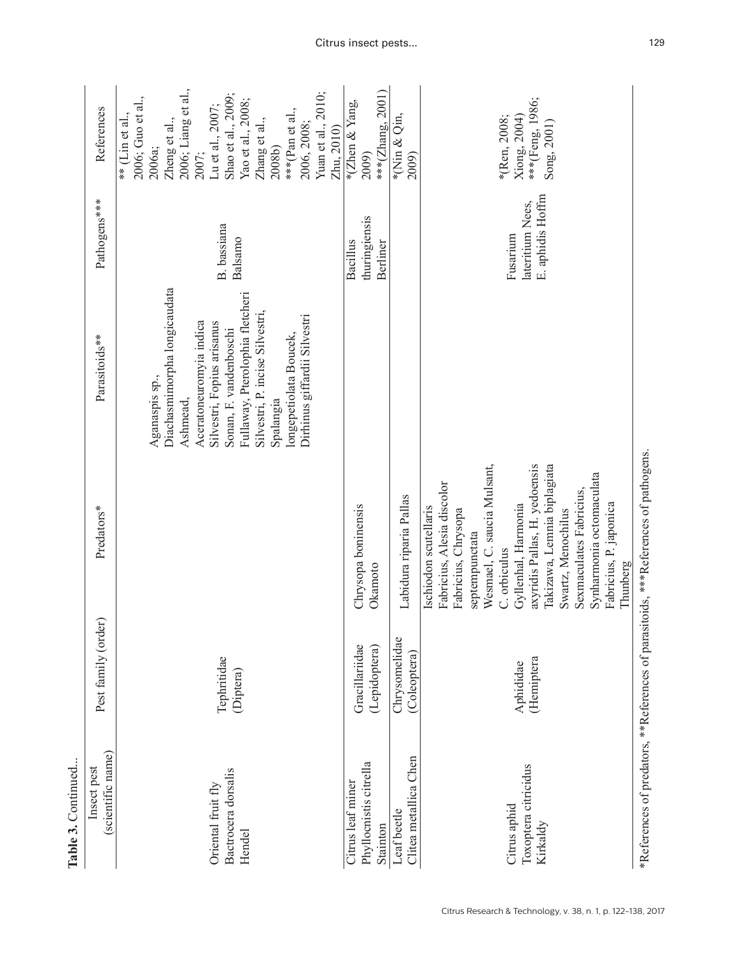| Table 3. Continued                                      |                                 |                                                                                                                                                                                                                                                                                                                                                       |                                                                                                                                                                                                                                                                                            |                                                  |                                                                                                                                                                                                                                                                 |
|---------------------------------------------------------|---------------------------------|-------------------------------------------------------------------------------------------------------------------------------------------------------------------------------------------------------------------------------------------------------------------------------------------------------------------------------------------------------|--------------------------------------------------------------------------------------------------------------------------------------------------------------------------------------------------------------------------------------------------------------------------------------------|--------------------------------------------------|-----------------------------------------------------------------------------------------------------------------------------------------------------------------------------------------------------------------------------------------------------------------|
| (scientific name)<br>Insect pest                        | Pest family (order)             | Predators*                                                                                                                                                                                                                                                                                                                                            | Parasitoids**                                                                                                                                                                                                                                                                              | Pathogens***                                     | References                                                                                                                                                                                                                                                      |
| Bactrocera dorsalis<br>Oriental fruit fly<br>Hendel     | Tephritidae<br>(Diptera)        |                                                                                                                                                                                                                                                                                                                                                       | Diachasmimorpha longicaudata<br>Fullaway, Pterolophia fletcheri<br>Silvestri, P. incise Silvestri,<br>Dirhinus giffardii Silvestri<br>Aceratoneuromyia indica<br>Silvestri, Fopius arisanus<br>Sonan, F. vandenboschi<br>longepetiolata Boucek,<br>Aganaspis sp.,<br>Ashmead,<br>Spalangia | B. bassiana<br>Balsamo                           | 2006; Liang et al.,<br>Shao et al., 2009;<br>Yuan et al., 2010;<br>2006; Guo et al.,<br>Yao et al., 2008;<br>Lu et al., 2007;<br>***(Pan et al.,<br>** (Lin et al.,<br>Zheng et al.,<br>Zhang et al.,<br>2006, 2008;<br>Zhu, 2010)<br>2006а;<br>2008b)<br>2007; |
| Phyllocnistis citrella<br>Citrus leaf miner<br>Stainton | Gracillariidae<br>(Lepidoptera) | Chrysopa boninensis<br>Okamoto                                                                                                                                                                                                                                                                                                                        |                                                                                                                                                                                                                                                                                            | thuringiensis<br>Bacillus<br>Berliner            | ***(Zhang, 2001)<br>*(Zhen & Yang,<br>2009)                                                                                                                                                                                                                     |
| Clitea metallica Chen<br>Leaf beetle                    | Chrysomelidae<br>(Coleoptera)   | Labidura riparia Pallas                                                                                                                                                                                                                                                                                                                               |                                                                                                                                                                                                                                                                                            |                                                  | *(Nin & Qin,<br>2009)                                                                                                                                                                                                                                           |
| Toxoptera citricidus<br>Citrus aphid<br>Kirkaldy        | (Hemiptera<br>Aphididae         | Wesmael, C. saucia Mulsant,<br>axyridis Pallas, H. yedoensis<br>Takizawa, Lemnia biplagiata<br>Synharmonia octomaculata<br>Fabricius, Alesia discolor<br>Sexmaculates Fabricius.<br>Fabricius, P. japonica<br>Gyllenhal, Harmonia<br>Ischiodon scutellaris<br>Fabricius, Chrysopa<br>Swartz, Menochilus<br>septempunctata<br>C. orbiculus<br>Thunberg |                                                                                                                                                                                                                                                                                            | E. aphidis Hoffm<br>lateritium Nees,<br>Fusarium | ***(Feng, 1986;<br>*(Ren, 2008;<br>Xiong, 2004)<br>Song, 2001)                                                                                                                                                                                                  |
|                                                         |                                 | *References of predators, **References of parasitoids, ***References of pathogens.                                                                                                                                                                                                                                                                    |                                                                                                                                                                                                                                                                                            |                                                  |                                                                                                                                                                                                                                                                 |

 $\tilde{\mathfrak{g}}$  $\mathbf{r}$  $\ddot{\phantom{0}}$ Ĺ,  $\overline{a}$ ì,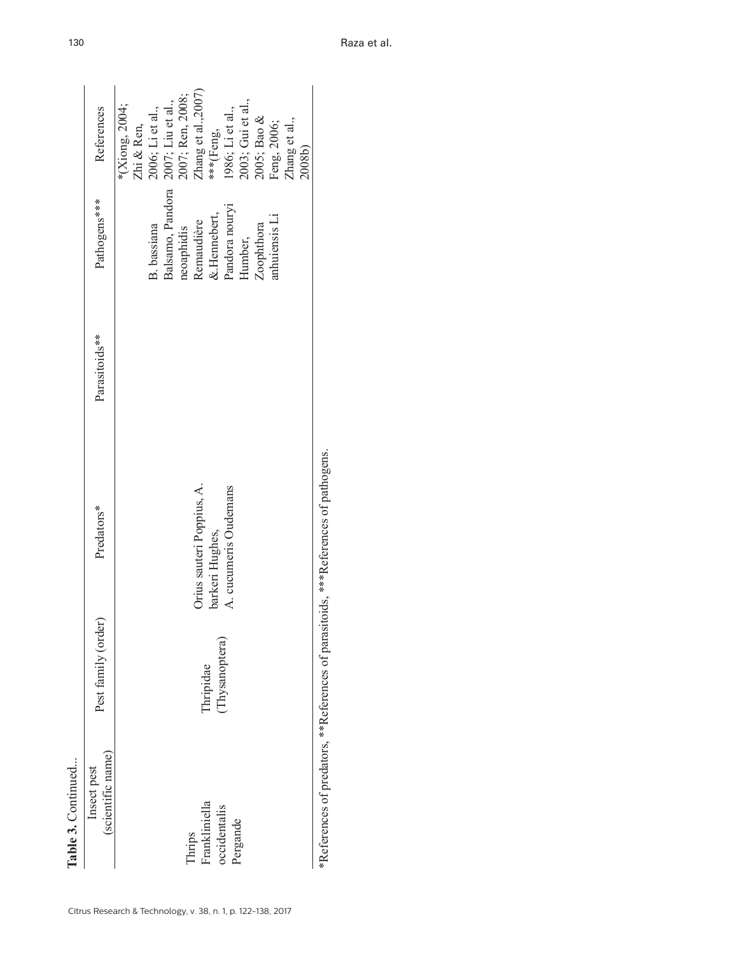| Table 3. Continued                                  |                            |                                                                       |               |                                                                                                                                            |                                                                                                                                                                                                                                |
|-----------------------------------------------------|----------------------------|-----------------------------------------------------------------------|---------------|--------------------------------------------------------------------------------------------------------------------------------------------|--------------------------------------------------------------------------------------------------------------------------------------------------------------------------------------------------------------------------------|
| (scientific name)<br>Insect pest                    | Pest family (order)        | Predators*                                                            | Parasitoids** | Pathogens***                                                                                                                               | References                                                                                                                                                                                                                     |
| Thrips<br>Frankliniella<br>occidentalis<br>Pergande | Thysanoptera)<br>Thripidae | A. cucumeris Oudemans<br>Orius sauteri Poppius, A.<br>barkeri Hughes, |               | Balsamo, Pandora<br>Pandora nouryi<br>$\&$ Hennebert,<br>anhuiensis Li<br>Remaudière<br>Zoophthora<br>B. bassiana<br>neoaphidis<br>Humber, | 2007; Ren, 2008;<br>Zhang et al.,2007)<br>2003; Gui et al.,<br>2005; Bao &<br>2007; Liu et al.,<br>*(Xiong, 2004;<br>2006; Li et al.,<br>1986; Li et al.,<br>Zhang et al.,<br>Feng, 2006;<br>Zhi & Ren,<br>***(Feng,<br>2008b) |

\*References of predators, \*\*References of parasitoids, \*\*\*References of pathogens. \*References of predators, \*\*References of parasitoids, \*\*\*References of pathogens.

Raza et al.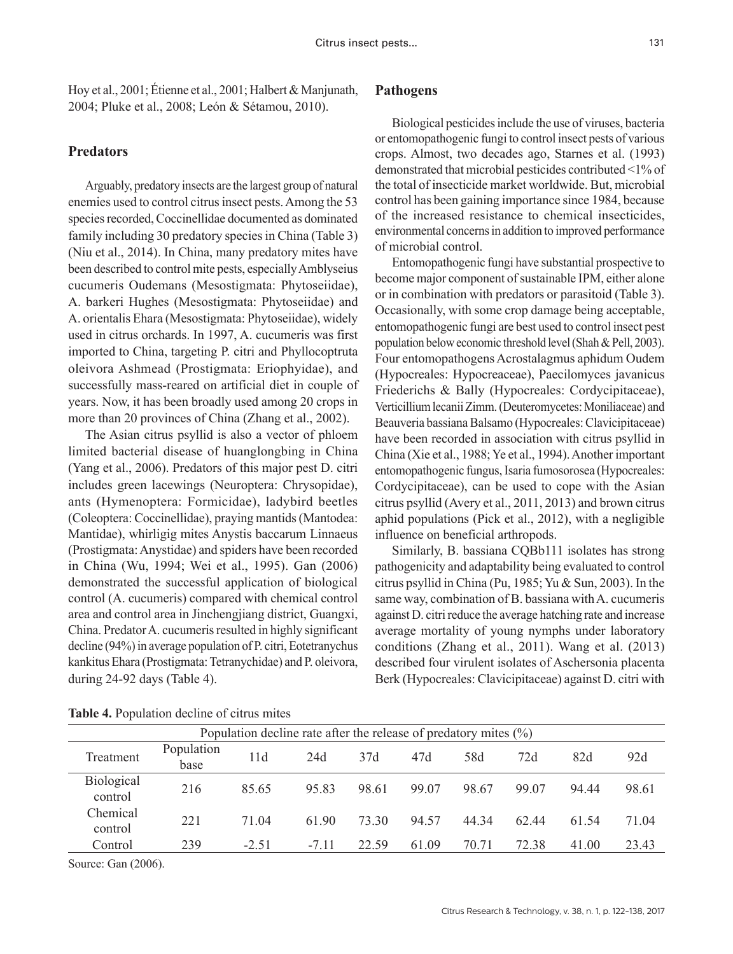Hoy et al., 2001; Étienne et al., 2001; Halbert & Manjunath, 2004; Pluke et al., 2008; León & Sétamou, 2010).

# **Predators**

Arguably, predatory insects are the largest group of natural enemies used to control citrus insect pests. Among the 53 species recorded, Coccinellidae documented as dominated family including 30 predatory species in China (Table 3) (Niu et al., 2014). In China, many predatory mites have been described to control mite pests, especially Amblyseius cucumeris Oudemans (Mesostigmata: Phytoseiidae), A. barkeri Hughes (Mesostigmata: Phytoseiidae) and A. orientalis Ehara (Mesostigmata: Phytoseiidae), widely used in citrus orchards. In 1997, A. cucumeris was first imported to China, targeting P. citri and Phyllocoptruta oleivora Ashmead (Prostigmata: Eriophyidae), and successfully mass-reared on artificial diet in couple of years. Now, it has been broadly used among 20 crops in more than 20 provinces of China (Zhang et al., 2002).

The Asian citrus psyllid is also a vector of phloem limited bacterial disease of huanglongbing in China (Yang et al., 2006). Predators of this major pest D. citri includes green lacewings (Neuroptera: Chrysopidae), ants (Hymenoptera: Formicidae), ladybird beetles (Coleoptera: Coccinellidae), praying mantids (Mantodea: Mantidae), whirligig mites Anystis baccarum Linnaeus (Prostigmata: Anystidae) and spiders have been recorded in China (Wu, 1994; Wei et al., 1995). Gan (2006) demonstrated the successful application of biological control (A. cucumeris) compared with chemical control area and control area in Jinchengjiang district, Guangxi, China. Predator A. cucumeris resulted in highly significant decline (94%) in average population of P. citri, Eotetranychus kankitus Ehara (Prostigmata: Tetranychidae) and P. oleivora, during 24-92 days (Table 4).

# **Pathogens**

Biological pesticides include the use of viruses, bacteria or entomopathogenic fungi to control insect pests of various crops. Almost, two decades ago, Starnes et al. (1993) demonstrated that microbial pesticides contributed <1% of the total of insecticide market worldwide. But, microbial control has been gaining importance since 1984, because of the increased resistance to chemical insecticides, environmental concerns in addition to improved performance of microbial control.

Entomopathogenic fungi have substantial prospective to become major component of sustainable IPM, either alone or in combination with predators or parasitoid (Table 3). Occasionally, with some crop damage being acceptable, entomopathogenic fungi are best used to control insect pest population below economic threshold level (Shah & Pell, 2003). Four entomopathogens Acrostalagmus aphidum Oudem (Hypocreales: Hypocreaceae), Paecilomyces javanicus Friederichs & Bally (Hypocreales: Cordycipitaceae), Verticillium lecanii Zimm. (Deuteromycetes: Moniliaceae) and Beauveria bassiana Balsamo (Hypocreales: Clavicipitaceae) have been recorded in association with citrus psyllid in China (Xie et al., 1988; Ye et al., 1994). Another important entomopathogenic fungus, Isaria fumosorosea (Hypocreales: Cordycipitaceae), can be used to cope with the Asian citrus psyllid (Avery et al., 2011, 2013) and brown citrus aphid populations (Pick et al., 2012), with a negligible influence on beneficial arthropods.

Similarly, B. bassiana CQBb111 isolates has strong pathogenicity and adaptability being evaluated to control citrus psyllid in China (Pu, 1985; Yu & Sun, 2003). In the same way, combination of B. bassiana with A. cucumeris against D. citri reduce the average hatching rate and increase average mortality of young nymphs under laboratory conditions (Zhang et al., 2011). Wang et al. (2013) described four virulent isolates of Aschersonia placenta Berk (Hypocreales: Clavicipitaceae) against D. citri with

|                              |                    |         | Population decline rate after the release of predatory mites $(\%)$ |       |       |       |       |       |       |
|------------------------------|--------------------|---------|---------------------------------------------------------------------|-------|-------|-------|-------|-------|-------|
| Treatment                    | Population<br>base | 11d     | 24d                                                                 | 37d   | 47d   | 58d   | 72d   | 82d   | 92d   |
| <b>Biological</b><br>control | 216                | 85.65   | 95.83                                                               | 98.61 | 99.07 | 98.67 | 99.07 | 94 44 | 98.61 |
| Chemical<br>control          | 221                | 71.04   | 61.90                                                               | 73.30 | 94.57 | 44.34 | 62.44 | 61.54 | 71.04 |
| Control                      | 239                | $-2.51$ | $-7.11$                                                             | 22.59 | 61.09 | 70.71 | 72.38 | 41.00 | 23.43 |

**Table 4.** Population decline of citrus mites

Source: Gan (2006).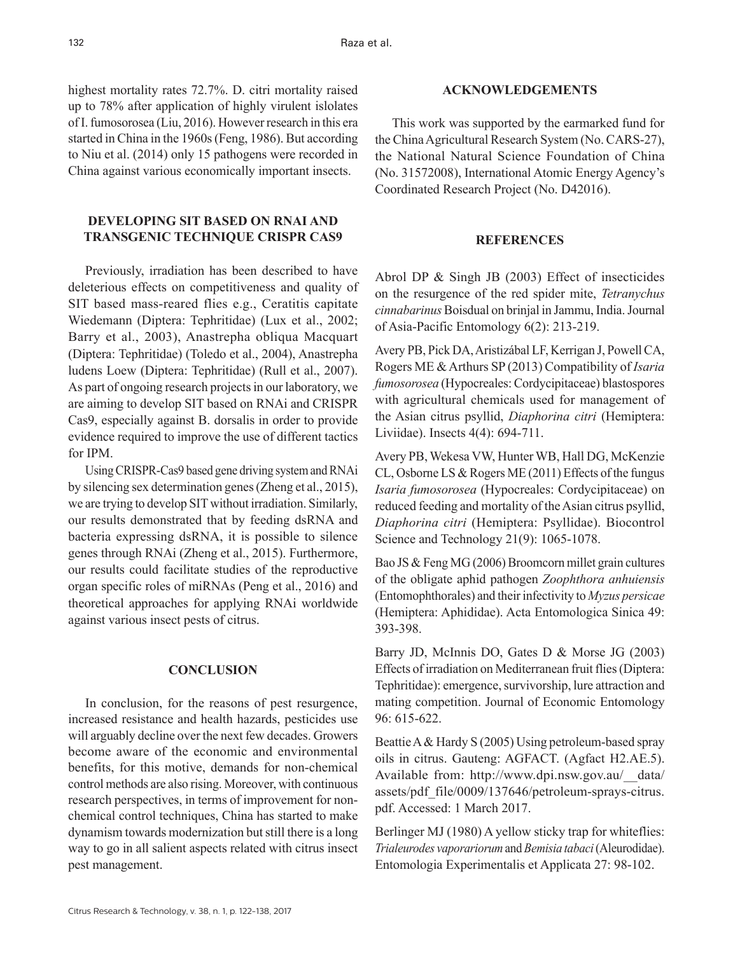highest mortality rates 72.7%. D. citri mortality raised up to 78% after application of highly virulent islolates of I. fumosorosea (Liu, 2016). However research in this era started in China in the 1960s (Feng, 1986). But according to Niu et al. (2014) only 15 pathogens were recorded in China against various economically important insects.

# **DEVELOPING SIT BASED ON RNAI AND TRANSGENIC TECHNIQUE CRISPR CAS9**

Previously, irradiation has been described to have deleterious effects on competitiveness and quality of SIT based mass-reared flies e.g., Ceratitis capitate Wiedemann (Diptera: Tephritidae) (Lux et al., 2002; Barry et al., 2003), Anastrepha obliqua Macquart (Diptera: Tephritidae) (Toledo et al., 2004), Anastrepha ludens Loew (Diptera: Tephritidae) (Rull et al., 2007). As part of ongoing research projects in our laboratory, we are aiming to develop SIT based on RNAi and CRISPR Cas9, especially against B. dorsalis in order to provide evidence required to improve the use of different tactics for IPM.

Using CRISPR-Cas9 based gene driving system and RNAi by silencing sex determination genes (Zheng et al., 2015), we are trying to develop SIT without irradiation. Similarly, our results demonstrated that by feeding dsRNA and bacteria expressing dsRNA, it is possible to silence genes through RNAi (Zheng et al., 2015). Furthermore, our results could facilitate studies of the reproductive organ specific roles of miRNAs (Peng et al., 2016) and theoretical approaches for applying RNAi worldwide against various insect pests of citrus.

## **CONCLUSION**

In conclusion, for the reasons of pest resurgence, increased resistance and health hazards, pesticides use will arguably decline over the next few decades. Growers become aware of the economic and environmental benefits, for this motive, demands for non-chemical control methods are also rising. Moreover, with continuous research perspectives, in terms of improvement for nonchemical control techniques, China has started to make dynamism towards modernization but still there is a long way to go in all salient aspects related with citrus insect pest management.

### **ACKNOWLEDGEMENTS**

This work was supported by the earmarked fund for the China Agricultural Research System (No. CARS-27), the National Natural Science Foundation of China (No. 31572008), International Atomic Energy Agency's Coordinated Research Project (No. D42016).

#### **REFERENCES**

Abrol DP & Singh JB (2003) Effect of insecticides on the resurgence of the red spider mite, *Tetranychus cinnabarinus* Boisdual on brinjal in Jammu, India. Journal of Asia-Pacific Entomology 6(2): 213-219.

Avery PB, Pick DA, Aristizábal LF, Kerrigan J, Powell CA, Rogers ME & Arthurs SP (2013) Compatibility of *Isaria fumosorosea* (Hypocreales: Cordycipitaceae) blastospores with agricultural chemicals used for management of the Asian citrus psyllid, *Diaphorina citri* (Hemiptera: Liviidae). Insects 4(4): 694-711.

Avery PB, Wekesa VW, Hunter WB, Hall DG, McKenzie CL, Osborne LS & Rogers ME (2011) Effects of the fungus *Isaria fumosorosea* (Hypocreales: Cordycipitaceae) on reduced feeding and mortality of the Asian citrus psyllid, *Diaphorina citri* (Hemiptera: Psyllidae). Biocontrol Science and Technology 21(9): 1065-1078.

Bao JS & Feng MG (2006) Broomcorn millet grain cultures of the obligate aphid pathogen *Zoophthora anhuiensis* (Entomophthorales) and their infectivity to *Myzus persicae* (Hemiptera: Aphididae). Acta Entomologica Sinica 49: 393-398.

Barry JD, McInnis DO, Gates D & Morse JG (2003) Effects of irradiation on Mediterranean fruit flies (Diptera: Tephritidae): emergence, survivorship, lure attraction and mating competition. Journal of Economic Entomology 96: 615-622.

Beattie A & Hardy S (2005) Using petroleum-based spray oils in citrus. Gauteng: AGFACT. (Agfact H2.AE.5). Available from: http://www.dpi.nsw.gov.au/\_\_data/ assets/pdf\_file/0009/137646/petroleum-sprays-citrus. pdf. Accessed: 1 March 2017.

Berlinger MJ (1980) A yellow sticky trap for whiteflies: *Trialeurodes vaporariorum* and *Bemisia tabaci* (Aleurodidae). Entomologia Experimentalis et Applicata 27: 98-102.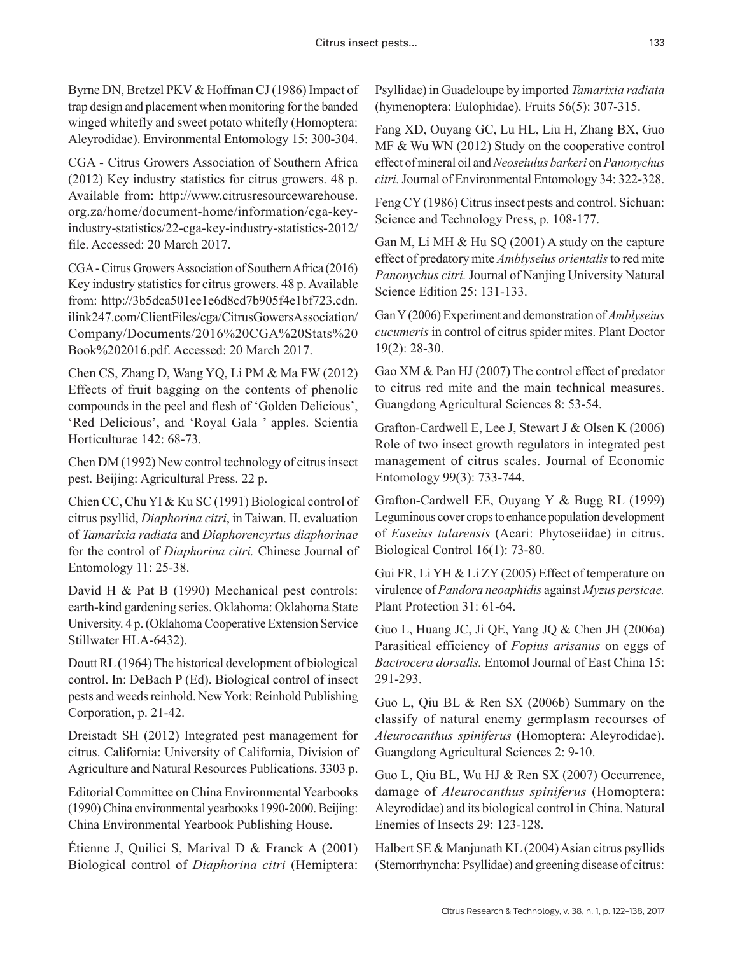Byrne DN, Bretzel PKV & Hoffman CJ (1986) Impact of trap design and placement when monitoring for the banded winged whitefly and sweet potato whitefly (Homoptera: Aleyrodidae). Environmental Entomology 15: 300-304.

CGA - Citrus Growers Association of Southern Africa (2012) Key industry statistics for citrus growers. 48 p. Available from: http://www.citrusresourcewarehouse. org.za/home/document-home/information/cga-keyindustry-statistics/22-cga-key-industry-statistics-2012/ file. Accessed: 20 March 2017.

CGA - Citrus Growers Association of Southern Africa (2016) Key industry statistics for citrus growers. 48 p. Available from: http://3b5dca501ee1e6d8cd7b905f4e1bf723.cdn. ilink247.com/ClientFiles/cga/CitrusGowersAssociation/ Company/Documents/2016%20CGA%20Stats%20 Book%202016.pdf. Accessed: 20 March 2017.

Chen CS, Zhang D, Wang YQ, Li PM & Ma FW (2012) Effects of fruit bagging on the contents of phenolic compounds in the peel and flesh of 'Golden Delicious', 'Red Delicious', and 'Royal Gala ' apples. Scientia Horticulturae 142: 68-73.

Chen DM (1992) New control technology of citrus insect pest. Beijing: Agricultural Press. 22 p.

Chien CC, Chu YI & Ku SC (1991) Biological control of citrus psyllid, *Diaphorina citri*, in Taiwan. II. evaluation of *Tamarixia radiata* and *Diaphorencyrtus diaphorinae* for the control of *Diaphorina citri.* Chinese Journal of Entomology 11: 25-38.

David H & Pat B (1990) Mechanical pest controls: earth-kind gardening series. Oklahoma: Oklahoma State University. 4 p. (Oklahoma Cooperative Extension Service Stillwater HLA-6432).

Doutt RL (1964) The historical development of biological control. In: DeBach P (Ed). Biological control of insect pests and weeds reinhold. New York: Reinhold Publishing Corporation, p. 21-42.

Dreistadt SH (2012) Integrated pest management for citrus. California: University of California, Division of Agriculture and Natural Resources Publications. 3303 p.

Editorial Committee on China Environmental Yearbooks (1990) China environmental yearbooks 1990-2000. Beijing: China Environmental Yearbook Publishing House.

Étienne J, Quilici S, Marival D & Franck A (2001) Biological control of *Diaphorina citri* (Hemiptera:

Psyllidae) in Guadeloupe by imported *Tamarixia radiata* (hymenoptera: Eulophidae). Fruits 56(5): 307-315.

Fang XD, Ouyang GC, Lu HL, Liu H, Zhang BX, Guo MF & Wu WN (2012) Study on the cooperative control effect of mineral oil and *Neoseiulus barkeri* on *Panonychus citri.* Journal of Environmental Entomology 34: 322-328.

Feng CY (1986) Citrus insect pests and control. Sichuan: Science and Technology Press, p. 108-177.

Gan M, Li MH & Hu SQ (2001) A study on the capture effect of predatory mite *Amblyseius orientalis* to red mite *Panonychus citri.* Journal of Nanjing University Natural Science Edition 25: 131-133.

Gan Y (2006) Experiment and demonstration of *Amblyseius cucumeris* in control of citrus spider mites. Plant Doctor 19(2): 28-30.

Gao XM & Pan HJ (2007) The control effect of predator to citrus red mite and the main technical measures. Guangdong Agricultural Sciences 8: 53-54.

Grafton-Cardwell E, Lee J, Stewart J & Olsen K (2006) Role of two insect growth regulators in integrated pest management of citrus scales. Journal of Economic Entomology 99(3): 733-744.

Grafton-Cardwell EE, Ouyang Y & Bugg RL (1999) Leguminous cover crops to enhance population development of *Euseius tularensis* (Acari: Phytoseiidae) in citrus. Biological Control 16(1): 73-80.

Gui FR, Li YH & Li ZY (2005) Effect of temperature on virulence of *Pandora neoaphidis* against *Myzus persicae.* Plant Protection 31: 61-64.

Guo L, Huang JC, Ji QE, Yang JQ & Chen JH (2006a) Parasitical efficiency of *Fopius arisanus* on eggs of *Bactrocera dorsalis.* Entomol Journal of East China 15: 291-293.

Guo L, Qiu BL & Ren SX (2006b) Summary on the classify of natural enemy germplasm recourses of *Aleurocanthus spiniferus* (Homoptera: Aleyrodidae). Guangdong Agricultural Sciences 2: 9-10.

Guo L, Qiu BL, Wu HJ & Ren SX (2007) Occurrence, damage of *Aleurocanthus spiniferus* (Homoptera: Aleyrodidae) and its biological control in China. Natural Enemies of Insects 29: 123-128.

Halbert SE & Manjunath KL (2004) Asian citrus psyllids (Sternorrhyncha: Psyllidae) and greening disease of citrus: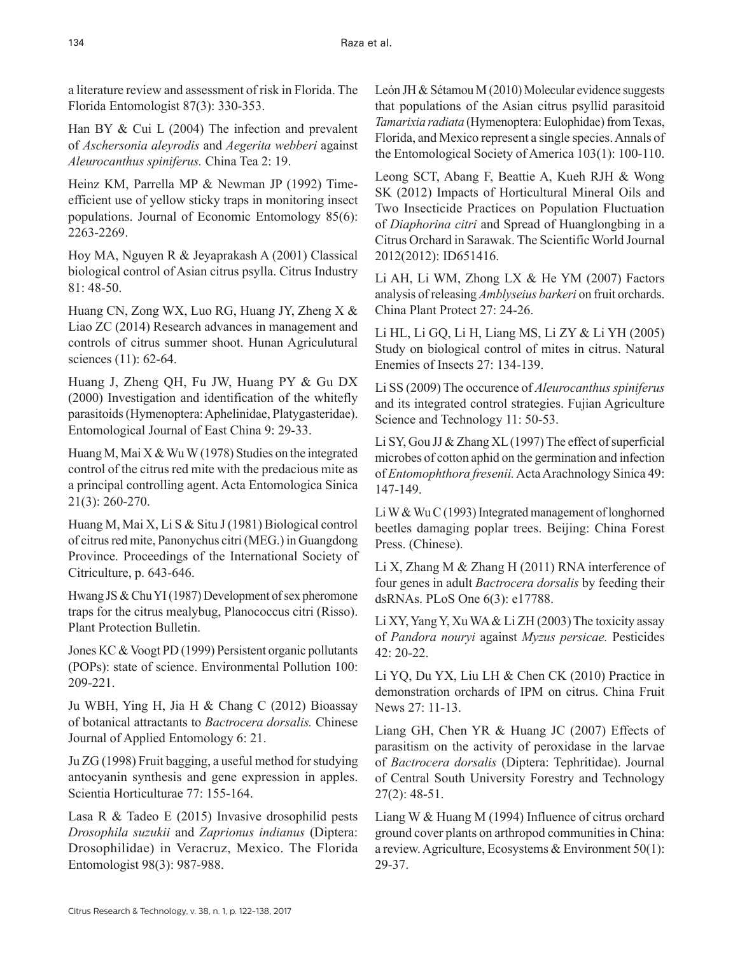a literature review and assessment of risk in Florida. The Florida Entomologist 87(3): 330-353.

Han BY & Cui L (2004) The infection and prevalent of *Aschersonia aleyrodis* and *Aegerita webberi* against *Aleurocanthus spiniferus.* China Tea 2: 19.

Heinz KM, Parrella MP & Newman JP (1992) Timeefficient use of yellow sticky traps in monitoring insect populations. Journal of Economic Entomology 85(6): 2263-2269.

Hoy MA, Nguyen R & Jeyaprakash A (2001) Classical biological control of Asian citrus psylla. Citrus Industry 81: 48-50.

Huang CN, Zong WX, Luo RG, Huang JY, Zheng X & Liao ZC (2014) Research advances in management and controls of citrus summer shoot. Hunan Agriculutural sciences (11): 62-64.

Huang J, Zheng QH, Fu JW, Huang PY & Gu DX (2000) Investigation and identification of the whitefly parasitoids (Hymenoptera: Aphelinidae, Platygasteridae). Entomological Journal of East China 9: 29-33.

Huang M, Mai X & Wu W (1978) Studies on the integrated control of the citrus red mite with the predacious mite as a principal controlling agent. Acta Entomologica Sinica 21(3): 260-270.

Huang M, Mai X, Li S & Situ J (1981) Biological control of citrus red mite, Panonychus citri (MEG.) in Guangdong Province. Proceedings of the International Society of Citriculture, p. 643-646.

Hwang JS & Chu YI (1987) Development of sex pheromone traps for the citrus mealybug, Planococcus citri (Risso). Plant Protection Bulletin.

Jones KC & Voogt PD (1999) Persistent organic pollutants (POPs): state of science. Environmental Pollution 100: 209-221.

Ju WBH, Ying H, Jia H & Chang C (2012) Bioassay of botanical attractants to *Bactrocera dorsalis.* Chinese Journal of Applied Entomology 6: 21.

Ju ZG (1998) Fruit bagging, a useful method for studying antocyanin synthesis and gene expression in apples. Scientia Horticulturae 77: 155-164.

Lasa R & Tadeo E (2015) Invasive drosophilid pests *Drosophila suzukii* and *Zaprionus indianus* (Diptera: Drosophilidae) in Veracruz, Mexico. The Florida Entomologist 98(3): 987-988.

León JH & Sétamou M (2010) Molecular evidence suggests that populations of the Asian citrus psyllid parasitoid *Tamarixia radiata* (Hymenoptera: Eulophidae) from Texas, Florida, and Mexico represent a single species. Annals of the Entomological Society of America 103(1): 100-110.

Leong SCT, Abang F, Beattie A, Kueh RJH & Wong SK (2012) Impacts of Horticultural Mineral Oils and Two Insecticide Practices on Population Fluctuation of *Diaphorina citri* and Spread of Huanglongbing in a Citrus Orchard in Sarawak. The Scientific World Journal 2012(2012): ID651416.

Li AH, Li WM, Zhong LX & He YM (2007) Factors analysis of releasing *Amblyseius barkeri* on fruit orchards. China Plant Protect 27: 24-26.

Li HL, Li GQ, Li H, Liang MS, Li ZY & Li YH (2005) Study on biological control of mites in citrus. Natural Enemies of Insects 27: 134-139.

Li SS (2009) The occurence of *Aleurocanthus spiniferus* and its integrated control strategies. Fujian Agriculture Science and Technology 11: 50-53.

Li SY, Gou JJ & Zhang XL (1997) The effect of superficial microbes of cotton aphid on the germination and infection of *Entomophthora fresenii.* Acta Arachnology Sinica 49: 147-149.

Li W & Wu C (1993) Integrated management of longhorned beetles damaging poplar trees. Beijing: China Forest Press. (Chinese).

Li X, Zhang M & Zhang H (2011) RNA interference of four genes in adult *Bactrocera dorsalis* by feeding their dsRNAs. PLoS One 6(3): e17788.

Li XY, Yang Y, Xu WA & Li ZH (2003) The toxicity assay of *Pandora nouryi* against *Myzus persicae.* Pesticides 42: 20-22.

Li YQ, Du YX, Liu LH & Chen CK (2010) Practice in demonstration orchards of IPM on citrus. China Fruit News 27: 11-13.

Liang GH, Chen YR & Huang JC (2007) Effects of parasitism on the activity of peroxidase in the larvae of *Bactrocera dorsalis* (Diptera: Tephritidae). Journal of Central South University Forestry and Technology 27(2): 48-51.

Liang W & Huang M (1994) Influence of citrus orchard ground cover plants on arthropod communities in China: a review. Agriculture, Ecosystems & Environment 50(1): 29-37.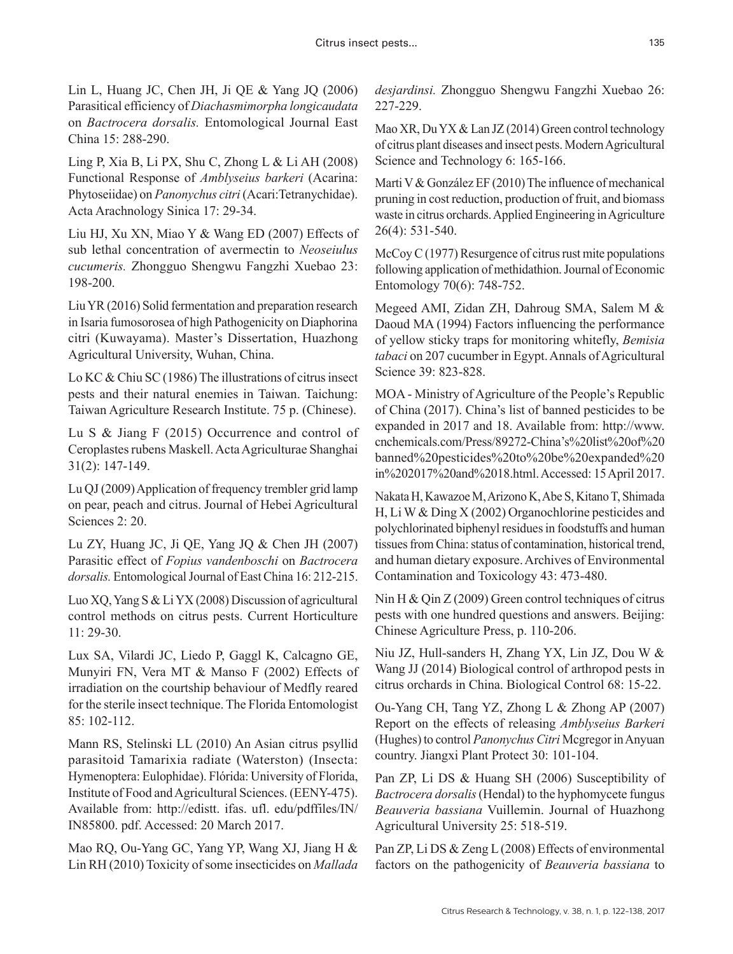Lin L, Huang JC, Chen JH, Ji QE & Yang JQ (2006) Parasitical efficiency of *Diachasmimorpha longicaudata* on *Bactrocera dorsalis.* Entomological Journal East China 15: 288-290.

Ling P, Xia B, Li PX, Shu C, Zhong L & Li AH (2008) Functional Response of *Amblyseius barkeri* (Acarina: Phytoseiidae) on *Panonychus citri* (Acari:Tetranychidae). Acta Arachnology Sinica 17: 29-34.

Liu HJ, Xu XN, Miao Y & Wang ED (2007) Effects of sub lethal concentration of avermectin to *Neoseiulus cucumeris.* Zhongguo Shengwu Fangzhi Xuebao 23: 198-200.

Liu YR (2016) Solid fermentation and preparation research in Isaria fumosorosea of high Pathogenicity on Diaphorina citri (Kuwayama). Master's Dissertation, Huazhong Agricultural University, Wuhan, China.

Lo KC & Chiu SC (1986) The illustrations of citrus insect pests and their natural enemies in Taiwan. Taichung: Taiwan Agriculture Research Institute. 75 p. (Chinese).

Lu S & Jiang F (2015) Occurrence and control of Ceroplastes rubens Maskell. Acta Agriculturae Shanghai 31(2): 147-149.

Lu QJ (2009) Application of frequency trembler grid lamp on pear, peach and citrus. Journal of Hebei Agricultural Sciences 2: 20.

Lu ZY, Huang JC, Ji QE, Yang JQ & Chen JH (2007) Parasitic effect of *Fopius vandenboschi* on *Bactrocera dorsalis.* Entomological Journal of East China 16: 212-215.

Luo XQ, Yang S & Li YX (2008) Discussion of agricultural control methods on citrus pests. Current Horticulture 11: 29-30.

Lux SA, Vilardi JC, Liedo P, Gaggl K, Calcagno GE, Munyiri FN, Vera MT & Manso F (2002) Effects of irradiation on the courtship behaviour of Medfly reared for the sterile insect technique. The Florida Entomologist 85: 102-112.

Mann RS, Stelinski LL (2010) An Asian citrus psyllid parasitoid Tamarixia radiate (Waterston) (Insecta: Hymenoptera: Eulophidae). Flórida: University of Florida, Institute of Food and Agricultural Sciences. (EENY-475). Available from: http://edistt. ifas. ufl. edu/pdffiles/IN/ IN85800. pdf. Accessed: 20 March 2017.

Mao RQ, Ou-Yang GC, Yang YP, Wang XJ, Jiang H & Lin RH (2010) Toxicity of some insecticides on *Mallada* 

*desjardinsi.* Zhongguo Shengwu Fangzhi Xuebao 26: 227-229.

Mao XR, Du YX & Lan JZ (2014) Green control technology of citrus plant diseases and insect pests. Modern Agricultural Science and Technology 6: 165-166.

Marti V & González EF (2010) The influence of mechanical pruning in cost reduction, production of fruit, and biomass waste in citrus orchards. Applied Engineering in Agriculture 26(4): 531-540.

McCoy C (1977) Resurgence of citrus rust mite populations following application of methidathion. Journal of Economic Entomology 70(6): 748-752.

Megeed AMI, Zidan ZH, Dahroug SMA, Salem M & Daoud MA (1994) Factors influencing the performance of yellow sticky traps for monitoring whitefly, *Bemisia tabaci* on 207 cucumber in Egypt. Annals of Agricultural Science 39: 823-828.

MOA - Ministry of Agriculture of the People's Republic of China (2017). China's list of banned pesticides to be expanded in 2017 and 18. Available from: http://www. cnchemicals.com/Press/89272-China's%20list%20of%20 banned%20pesticides%20to%20be%20expanded%20 in%202017%20and%2018.html. Accessed: 15 April 2017.

Nakata H, Kawazoe M, Arizono K, Abe S, Kitano T, Shimada H, Li W & Ding X (2002) Organochlorine pesticides and polychlorinated biphenyl residues in foodstuffs and human tissues from China: status of contamination, historical trend, and human dietary exposure. Archives of Environmental Contamination and Toxicology 43: 473-480.

Nin H & Qin Z (2009) Green control techniques of citrus pests with one hundred questions and answers. Beijing: Chinese Agriculture Press, p. 110-206.

Niu JZ, Hull-sanders H, Zhang YX, Lin JZ, Dou W & Wang JJ (2014) Biological control of arthropod pests in citrus orchards in China. Biological Control 68: 15-22.

Ou-Yang CH, Tang YZ, Zhong L & Zhong AP (2007) Report on the effects of releasing *Amblyseius Barkeri* (Hughes) to control *Panonychus Citri* Mcgregor in Anyuan country. Jiangxi Plant Protect 30: 101-104.

Pan ZP, Li DS & Huang SH (2006) Susceptibility of *Bactrocera dorsalis* (Hendal) to the hyphomycete fungus *Beauveria bassiana* Vuillemin. Journal of Huazhong Agricultural University 25: 518-519.

Pan ZP, Li DS & Zeng L (2008) Effects of environmental factors on the pathogenicity of *Beauveria bassiana* to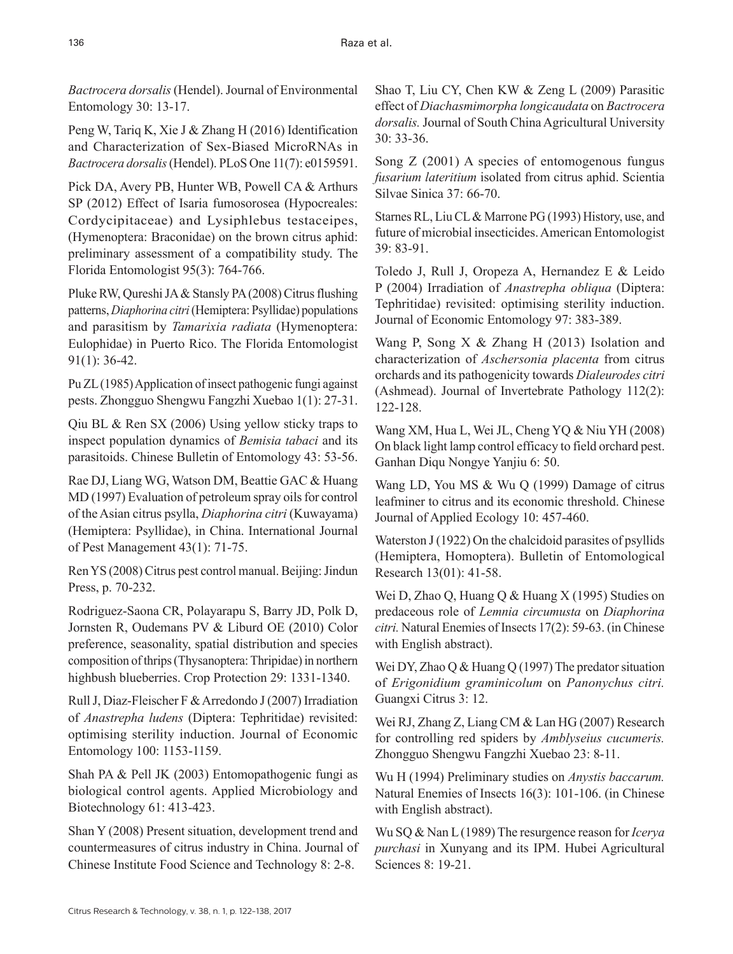*Bactrocera dorsalis* (Hendel). Journal of Environmental Entomology 30: 13-17.

Peng W, Tariq K, Xie J & Zhang H (2016) Identification and Characterization of Sex-Biased MicroRNAs in *Bactrocera dorsalis* (Hendel). PLoS One 11(7): e0159591.

Pick DA, Avery PB, Hunter WB, Powell CA & Arthurs SP (2012) Effect of Isaria fumosorosea (Hypocreales: Cordycipitaceae) and Lysiphlebus testaceipes, (Hymenoptera: Braconidae) on the brown citrus aphid: preliminary assessment of a compatibility study. The Florida Entomologist 95(3): 764-766.

Pluke RW, Qureshi JA & Stansly PA (2008) Citrus flushing patterns, *Diaphorina citri* (Hemiptera: Psyllidae) populations and parasitism by *Tamarixia radiata* (Hymenoptera: Eulophidae) in Puerto Rico. The Florida Entomologist 91(1): 36-42.

Pu ZL (1985) Application of insect pathogenic fungi against pests. Zhongguo Shengwu Fangzhi Xuebao 1(1): 27-31.

Qiu BL & Ren SX (2006) Using yellow sticky traps to inspect population dynamics of *Bemisia tabaci* and its parasitoids. Chinese Bulletin of Entomology 43: 53-56.

Rae DJ, Liang WG, Watson DM, Beattie GAC & Huang MD (1997) Evaluation of petroleum spray oils for control of the Asian citrus psylla, *Diaphorina citri* (Kuwayama) (Hemiptera: Psyllidae), in China. International Journal of Pest Management 43(1): 71-75.

Ren YS (2008) Citrus pest control manual. Beijing: Jindun Press, p. 70-232.

Rodriguez-Saona CR, Polayarapu S, Barry JD, Polk D, Jornsten R, Oudemans PV & Liburd OE (2010) Color preference, seasonality, spatial distribution and species composition of thrips (Thysanoptera: Thripidae) in northern highbush blueberries. Crop Protection 29: 1331-1340.

Rull J, Diaz-Fleischer F & Arredondo J (2007) Irradiation of *Anastrepha ludens* (Diptera: Tephritidae) revisited: optimising sterility induction. Journal of Economic Entomology 100: 1153-1159.

Shah PA & Pell JK (2003) Entomopathogenic fungi as biological control agents. Applied Microbiology and Biotechnology 61: 413-423.

Shan Y (2008) Present situation, development trend and countermeasures of citrus industry in China. Journal of Chinese Institute Food Science and Technology 8: 2-8.

Shao T, Liu CY, Chen KW & Zeng L (2009) Parasitic effect of *Diachasmimorpha longicaudata* on *Bactrocera dorsalis.* Journal of South China Agricultural University  $30.33 - 36$ 

Song Z (2001) A species of entomogenous fungus *fusarium lateritium* isolated from citrus aphid. Scientia Silvae Sinica 37: 66-70.

Starnes RL, Liu CL & Marrone PG (1993) History, use, and future of microbial insecticides. American Entomologist 39: 83-91.

Toledo J, Rull J, Oropeza A, Hernandez E & Leido P (2004) Irradiation of *Anastrepha obliqua* (Diptera: Tephritidae) revisited: optimising sterility induction. Journal of Economic Entomology 97: 383-389.

Wang P, Song X & Zhang H (2013) Isolation and characterization of *Aschersonia placenta* from citrus orchards and its pathogenicity towards *Dialeurodes citri* (Ashmead). Journal of Invertebrate Pathology 112(2): 122-128.

Wang XM, Hua L, Wei JL, Cheng YQ & Niu YH (2008) On black light lamp control efficacy to field orchard pest. Ganhan Diqu Nongye Yanjiu 6: 50.

Wang LD, You MS & Wu Q (1999) Damage of citrus leafminer to citrus and its economic threshold. Chinese Journal of Applied Ecology 10: 457-460.

Waterston J (1922) On the chalcidoid parasites of psyllids (Hemiptera, Homoptera). Bulletin of Entomological Research 13(01): 41-58.

Wei D, Zhao Q, Huang Q & Huang X (1995) Studies on predaceous role of *Lemnia circumusta* on *Diaphorina citri.* Natural Enemies of Insects 17(2): 59-63. (in Chinese with English abstract).

Wei DY, Zhao Q & Huang Q (1997) The predator situation of *Erigonidium graminicolum* on *Panonychus citri.* Guangxi Citrus 3: 12.

Wei RJ, Zhang Z, Liang CM & Lan HG (2007) Research for controlling red spiders by *Amblyseius cucumeris.* Zhongguo Shengwu Fangzhi Xuebao 23: 8-11.

Wu H (1994) Preliminary studies on *Anystis baccarum.* Natural Enemies of Insects 16(3): 101-106. (in Chinese with English abstract).

Wu SQ & Nan L (1989) The resurgence reason for *Icerya purchasi* in Xunyang and its IPM. Hubei Agricultural Sciences 8: 19-21.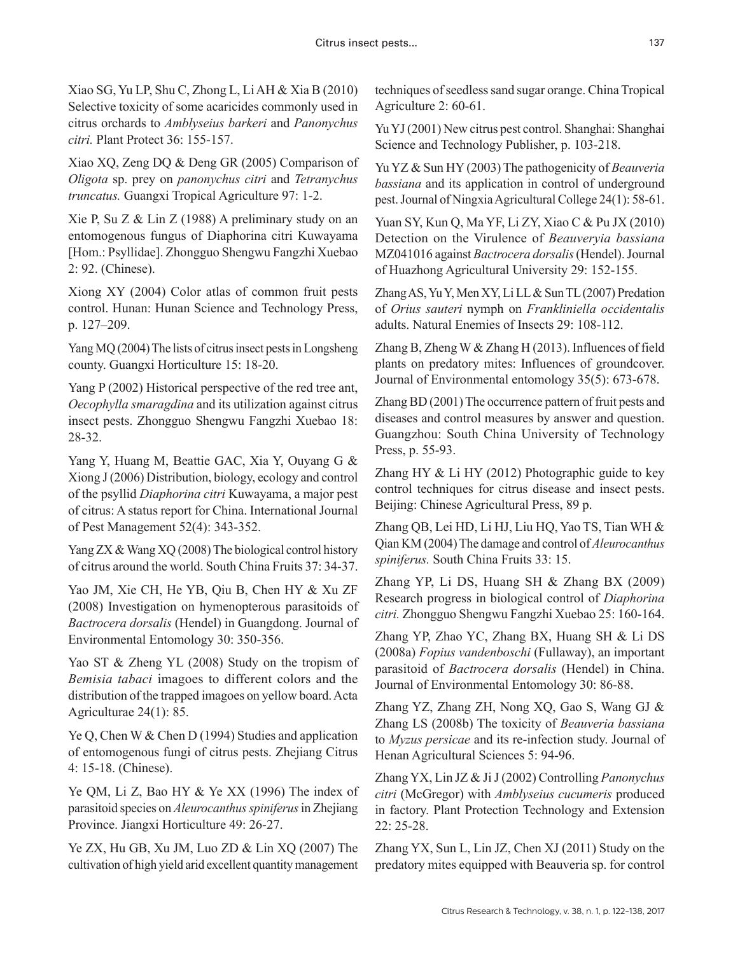Xiao SG, Yu LP, Shu C, Zhong L, Li AH & Xia B (2010) Selective toxicity of some acaricides commonly used in citrus orchards to *Amblyseius barkeri* and *Panonychus citri.* Plant Protect 36: 155-157.

Xiao XQ, Zeng DQ & Deng GR (2005) Comparison of *Oligota* sp. prey on *panonychus citri* and *Tetranychus truncatus.* Guangxi Tropical Agriculture 97: 1-2.

Xie P, Su Z & Lin Z (1988) A preliminary study on an entomogenous fungus of Diaphorina citri Kuwayama [Hom.: Psyllidae]. Zhongguo Shengwu Fangzhi Xuebao 2: 92. (Chinese).

Xiong XY (2004) Color atlas of common fruit pests control. Hunan: Hunan Science and Technology Press, p. 127–209.

Yang MQ (2004) The lists of citrus insect pests in Longsheng county. Guangxi Horticulture 15: 18-20.

Yang P (2002) Historical perspective of the red tree ant, *Oecophylla smaragdina* and its utilization against citrus insect pests. Zhongguo Shengwu Fangzhi Xuebao 18: 28-32.

Yang Y, Huang M, Beattie GAC, Xia Y, Ouyang G & Xiong J (2006) Distribution, biology, ecology and control of the psyllid *Diaphorina citri* Kuwayama, a major pest of citrus: A status report for China. International Journal of Pest Management 52(4): 343-352.

Yang ZX & Wang XQ (2008) The biological control history of citrus around the world. South China Fruits 37: 34-37.

Yao JM, Xie CH, He YB, Qiu B, Chen HY & Xu ZF (2008) Investigation on hymenopterous parasitoids of *Bactrocera dorsalis* (Hendel) in Guangdong. Journal of Environmental Entomology 30: 350-356.

Yao ST & Zheng YL (2008) Study on the tropism of *Bemisia tabaci* imagoes to different colors and the distribution of the trapped imagoes on yellow board. Acta Agriculturae 24(1): 85.

Ye Q, Chen W & Chen D (1994) Studies and application of entomogenous fungi of citrus pests. Zhejiang Citrus 4: 15-18. (Chinese).

Ye QM, Li Z, Bao HY & Ye XX (1996) The index of parasitoid species on *Aleurocanthus spiniferus* in Zhejiang Province. Jiangxi Horticulture 49: 26-27.

Ye ZX, Hu GB, Xu JM, Luo ZD & Lin XQ (2007) The cultivation of high yield arid excellent quantity management techniques of seedless sand sugar orange. China Tropical Agriculture 2: 60-61.

Yu YJ (2001) New citrus pest control. Shanghai: Shanghai Science and Technology Publisher, p. 103-218.

Yu YZ & Sun HY (2003) The pathogenicity of *Beauveria bassiana* and its application in control of underground pest. Journal of Ningxia Agricultural College 24(1): 58-61.

Yuan SY, Kun Q, Ma YF, Li ZY, Xiao C & Pu JX (2010) Detection on the Virulence of *Beauveryia bassiana* MZ041016 against *Bactrocera dorsalis* (Hendel). Journal of Huazhong Agricultural University 29: 152-155.

Zhang AS, Yu Y, Men XY, Li LL & Sun TL (2007) Predation of *Orius sauteri* nymph on *Frankliniella occidentalis* adults. Natural Enemies of Insects 29: 108-112.

Zhang B, Zheng W & Zhang H (2013). Influences of field plants on predatory mites: Influences of groundcover. Journal of Environmental entomology 35(5): 673-678.

Zhang BD (2001) The occurrence pattern of fruit pests and diseases and control measures by answer and question. Guangzhou: South China University of Technology Press, p. 55-93.

Zhang HY & Li HY (2012) Photographic guide to key control techniques for citrus disease and insect pests. Beijing: Chinese Agricultural Press, 89 p.

Zhang QB, Lei HD, Li HJ, Liu HQ, Yao TS, Tian WH & Qian KM (2004) The damage and control of *Aleurocanthus spiniferus.* South China Fruits 33: 15.

Zhang YP, Li DS, Huang SH & Zhang BX (2009) Research progress in biological control of *Diaphorina citri.* Zhongguo Shengwu Fangzhi Xuebao 25: 160-164.

Zhang YP, Zhao YC, Zhang BX, Huang SH & Li DS (2008a) *Fopius vandenboschi* (Fullaway), an important parasitoid of *Bactrocera dorsalis* (Hendel) in China. Journal of Environmental Entomology 30: 86-88.

Zhang YZ, Zhang ZH, Nong XQ, Gao S, Wang GJ & Zhang LS (2008b) The toxicity of *Beauveria bassiana* to *Myzus persicae* and its re-infection study. Journal of Henan Agricultural Sciences 5: 94-96.

Zhang YX, Lin JZ & Ji J (2002) Controlling *Panonychus citri* (McGregor) with *Amblyseius cucumeris* produced in factory. Plant Protection Technology and Extension 22: 25-28.

Zhang YX, Sun L, Lin JZ, Chen XJ (2011) Study on the predatory mites equipped with Beauveria sp. for control